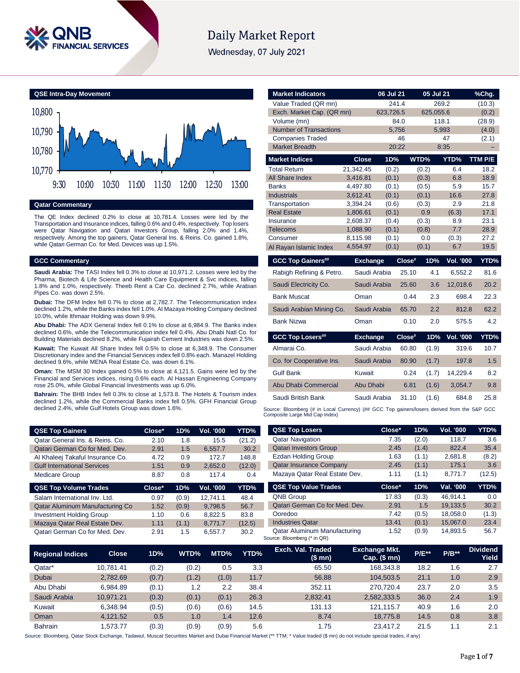

# **Daily Market Report**

Wednesday, 07 July 2021



# **Qatar Commentary**

The QE Index declined 0.2% to close at 10,781.4. Losses were led by the Transportation and Insurance indices, falling 0.6% and 0.4%, respectively. Top losers were Qatar Navigation and Qatari Investors Group, falling 2.0% and 1.4%, respectively. Among the top gainers, Qatar General Ins. & Reins. Co. gained 1.8%, while Qatari German Co. for Med. Devices was up 1.5%.

### **GCC Commentary**

**Saudi Arabia:** The TASI Index fell 0.3% to close at 10,971.2. Losses were led by the Pharma, Biotech & Life Science and Health Care Equipment & Svc indices, falling 1.8% and 1.0%, respectively. Theeb Rent a Car Co. declined 2.7%, while Arabian Pipes Co. was down 2.5%.

**Dubai:** The DFM Index fell 0.7% to close at 2,782.7. The Telecommunication index declined 1.2%, while the Banks index fell 1.0%. Al Mazaya Holding Company declined 10.0%, while Ithmaar Holding was down 9.9%.

**Abu Dhabi:** The ADX General Index fell 0.1% to close at 6,984.9. The Banks index declined 0.6%, while the Telecommunication index fell 0.4%. Abu Dhabi Natl Co. for Building Materials declined 8.2%, while Fujairah Cement Industries was down 2.5%.

**Kuwait:** The Kuwait All Share Index fell 0.5% to close at 6,348.9. The Consumer Discretionary index and the Financial Services index fell 0.8% each. Manazel Holding declined 9.6%, while MENA Real Estate Co. was down 6.1%.

**Oman:** The MSM 30 Index gained 0.5% to close at 4,121.5. Gains were led by the Financial and Services indices, rising 0.6% each. Al Hassan Engineering Company rose 25.0%, while Global Financial Investments was up 6.0%.

**Bahrain:** The BHB Index fell 0.3% to close at 1,573.8. The Hotels & Tourism index declined 1.2%, while the Commercial Banks index fell 0.5%. GFH Financial Group declined 2.4%, while Gulf Hotels Group was down 1.6%.

| <b>QSE Top Gainers</b>             | Close* | 1D% | Vol. '000 | YTD%   |
|------------------------------------|--------|-----|-----------|--------|
| Qatar General Ins. & Reins. Co.    | 2.10   | 1.8 | 15.5      | (21.2) |
| Qatari German Co for Med. Dev.     | 2.91   | 1.5 | 6.557.7   | 30.2   |
| Al Khaleej Takaful Insurance Co.   | 4.72   | 0.9 | 172.7     | 148.8  |
| <b>Gulf International Services</b> | 1.51   | 0.9 | 2,652.0   | (12.0) |
| <b>Medicare Group</b>              | 8.87   | 0.8 | 117.4     | 0.4    |
|                                    |        |     |           |        |

| YTD%   |
|--------|
| 48.4   |
| 56.7   |
| 83.8   |
| (12.5) |
| 30.2   |
|        |

| <b>Market Indicators</b>                                                                   |                      | 06 Jul 21      |        | 05 Jul 21      |                  | %Chg.        |
|--------------------------------------------------------------------------------------------|----------------------|----------------|--------|----------------|------------------|--------------|
| Value Traded (QR mn)                                                                       |                      | 241.4          |        |                | 269.2            | (10.3)       |
| Exch. Market Cap. (QR mn)                                                                  |                      | 623,726.5      |        | 625,055.6      |                  | (0.2)        |
| Volume (mn)                                                                                |                      | 84.0           |        |                | 118.1            | (28.9)       |
| <b>Number of Transactions</b>                                                              |                      | 5,756          |        |                | 5,993            | (4.0)        |
| <b>Companies Traded</b>                                                                    |                      |                | 46     |                | 47               | (2.1)        |
| <b>Market Breadth</b>                                                                      |                      | 20:22          |        |                | 8:35             |              |
| <b>Market Indices</b>                                                                      | <b>Close</b>         | 1D%            |        | WTD%           | YTD%             | TTM P/E      |
| <b>Total Return</b>                                                                        | 21,342.45            | (0.2)          |        | (0.2)          | 6.4              | 18.2         |
| All Share Index                                                                            | 3,416.81             | (0.1)          |        | (0.3)          | 6.8              | 18.9         |
| <b>Banks</b>                                                                               | 4.497.80             | (0.1)          |        | (0.5)          | 5.9              | 15.7         |
| <b>Industrials</b>                                                                         | 3,612.41             | (0.1)          |        | (0.1)          | 16.6             | 27.8         |
| Transportation                                                                             | 3,394.24             | (0.6)          |        | (0.3)          | 2.9              | 21.8         |
| <b>Real Estate</b>                                                                         | 1,806.61             | (0.1)          |        | 0.9            | (6.3)            | 17.1         |
| Insurance<br><b>Telecoms</b>                                                               | 2,608.37<br>1,088.90 | (0.4)<br>(0.1) |        | (0.3)<br>(0.8) | 8.9<br>7.7       | 23.1<br>28.9 |
| Consumer                                                                                   | 8,115.98             | (0.1)          |        | 0.0            | (0.3)            | 27.2         |
| Al Rayan Islamic Index                                                                     | 4,554.97             | (0.1)          |        | (0.1)          | 6.7              | 19.5         |
|                                                                                            |                      |                |        |                |                  |              |
| <b>GCC Top Gainers##</b>                                                                   | <b>Exchange</b>      |                | Close# | 1D%            | <b>Vol. '000</b> | YTD%         |
| Rabigh Refining & Petro.                                                                   | Saudi Arabia         |                | 25.10  | 4.1            | 6,552.2          | 81.6         |
| Saudi Electricity Co.                                                                      | Saudi Arabia         |                | 25.60  | 3.6            | 12,018.6         | 20.2         |
| <b>Bank Muscat</b>                                                                         | Oman                 |                | 0.44   | 2.3            | 698.4            | 22.3         |
| Saudi Arabian Mining Co.                                                                   | Saudi Arabia         |                | 65.70  | 2.2            | 812.8            | 62.2         |
| <b>Bank Nizwa</b>                                                                          | Oman                 |                | 0.10   | 2.0            | 575.5            | 4.2          |
| <b>GCC Top Losers##</b>                                                                    | <b>Exchange</b>      |                | Close# | 1D%            | <b>Vol. '000</b> | YTD%         |
| Almarai Co.                                                                                | Saudi Arabia         |                | 60.80  | (1.9)          | 319.6            | 10.7         |
| Co. for Cooperative Ins.                                                                   | Saudi Arabia         |                | 80.90  | (1.7)          | 197.8            | 1.5          |
| <b>Gulf Bank</b>                                                                           | Kuwait               |                | 0.24   | (1.7)          | 14,229.4         | 8.2          |
| Abu Dhabi Commercial                                                                       | Abu Dhabi            |                | 6.81   | (1.6)          | 3,054.7          | 9.8          |
| Saudi British Bank                                                                         | Saudi Arabia         |                | 31.10  | (1.6)          | 684.8            | 25.8         |
| use: Discreption (# in Load Currence) (## CCC Top existent locate derived from the COD CCC |                      |                |        |                |                  |              |

Source: Bloomberg (# in Local Currency) (## GCC Top gainers/losers derived from the S&P GCC<br>Composite Large Mid Cap Index)

| <b>QSE Top Losers</b>          | Close* | 1D%   | <b>Vol. '000</b> | <b>YTD%</b> |
|--------------------------------|--------|-------|------------------|-------------|
| <b>Qatar Navigation</b>        | 7.35   | (2.0) | 118.7            | 3.6         |
| <b>Qatari Investors Group</b>  | 2.45   | (1.4) | 822.4            | 35.4        |
| <b>Ezdan Holding Group</b>     | 1.63   | (1.1) | 2,681.8          | (8.2)       |
| <b>Qatar Insurance Company</b> | 2.45   | (1.1) | 175.1            | 3.6         |
| Mazaya Qatar Real Estate Dev.  | 1.11   | (1.1) | 8,771.7          | (12.5)      |
| <b>QSE Top Value Trades</b>    | Close* | 1D%   | Val. '000        | YTD%        |
| <b>QNB Group</b>               | 17.83  | (0.3) | 46,914.1         | 0.0         |
| Qatari German Co for Med. Dev. | 2.91   | 1.5   | 19,133.5         | 30.2        |
| Ooredoo                        | 7.42   | (0.5) | 18,058.0         | (1.3)       |

Industries Qatar 13.41 (0.1) 15,067.0 23.4 Qatar Aluminum Manufacturing 1.52 (0.9) 14,893.5 56.7

| <b>Regional Indices</b> | <b>Close</b> | 1D%   | WTD%  | MTD%  | YTD% | Exch. Val. Traded<br>(\$ mn) | <b>Exchange Mkt.</b><br>$Cap.$ (\$ mn) | <b>P/E**</b> | $P/B**$ | <b>Dividend</b><br>Yield |
|-------------------------|--------------|-------|-------|-------|------|------------------------------|----------------------------------------|--------------|---------|--------------------------|
| Qatar*                  | 10.781.41    | (0.2) | (0.2) | 0.5   | 3.3  | 65.50                        | 168.343.8                              | 18.2         | 1.6     | 2.7                      |
| Dubai                   | 2.782.69     | (0.7) | (1.2) | (1.0) | 11.7 | 56.88                        | 104.503.5                              | 21.1         | 1.0     | 2.9                      |
| Abu Dhabi               | 6.984.89     | (0.1) | 1.2   | 2.2   | 38.4 | 352.11                       | 270.720.4                              | 23.7         | 2.0     | 3.5                      |
| Saudi Arabia            | 10.971.21    | (0.3) | (0.1) | (0.1) | 26.3 | 2,832.41                     | 2,582,333.5                            | 36.0         | 2.4     | 1.9                      |
| Kuwait                  | 6.348.94     | (0.5) | (0.6) | (0.6) | 14.5 | 131.13                       | 121.115.7                              | 40.9         | 1.6     | 2.0                      |
| Oman                    | 4.121.52     | 0.5   | 1.0   | 1.4   | 12.6 | 8.74                         | 18,775.8                               | 14.5         | 0.8     | 3.8                      |
| <b>Bahrain</b>          | .573.77      | (0.3) | (0.9) | (0.9) | 5.6  | 1.75                         | 23.417.2                               | 21.5         | 1.1     | 2.1                      |

Source: Bloomberg (\* in QR)

Source: Bloomberg, Qatar Stock Exchange, Tadawul, Muscat Securities Market and Dubai Financial Market (\*\* TTM; \* Value traded (\$ mn) do not include special trades, if any)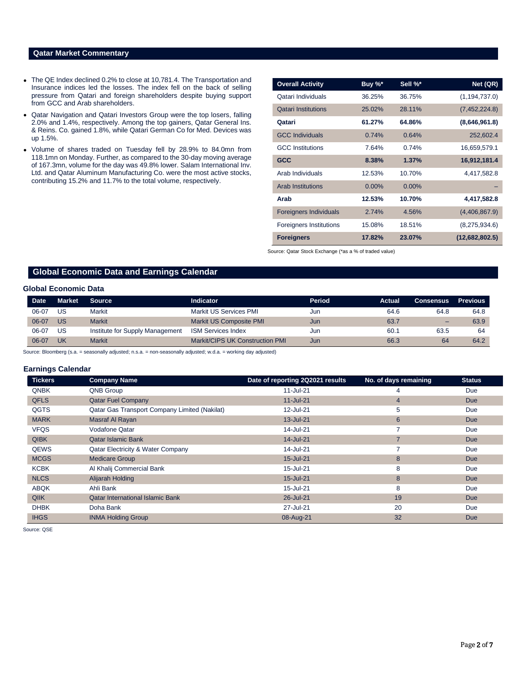# **Qatar Market Commentary**

- The QE Index declined 0.2% to close at 10,781.4. The Transportation and Insurance indices led the losses. The index fell on the back of selling pressure from Qatari and foreign shareholders despite buying support from GCC and Arab shareholders.
- Qatar Navigation and Qatari Investors Group were the top losers, falling 2.0% and 1.4%, respectively. Among the top gainers, Qatar General Ins. & Reins. Co. gained 1.8%, while Qatari German Co for Med. Devices was up 1.5%.
- Volume of shares traded on Tuesday fell by 28.9% to 84.0mn from 118.1mn on Monday. Further, as compared to the 30-day moving average of 167.3mn, volume for the day was 49.8% lower. Salam International Inv. Ltd. and Qatar Aluminum Manufacturing Co. were the most active stocks, contributing 15.2% and 11.7% to the total volume, respectively.

| <b>Overall Activity</b>        | Buy %*   | Sell %*  | Net (QR)        |
|--------------------------------|----------|----------|-----------------|
| Qatari Individuals             | 36.25%   | 36.75%   | (1, 194, 737.0) |
| <b>Qatari Institutions</b>     | 25.02%   | 28.11%   | (7,452,224.8)   |
| Qatari                         | 61.27%   | 64.86%   | (8,646,961.8)   |
| <b>GCC Individuals</b>         | 0.74%    | 0.64%    | 252,602.4       |
| <b>GCC</b> Institutions        | 7.64%    | 0.74%    | 16,659,579.1    |
| <b>GCC</b>                     | 8.38%    | 1.37%    | 16,912,181.4    |
| Arab Individuals               | 12.53%   | 10.70%   | 4,417,582.8     |
| <b>Arab Institutions</b>       | $0.00\%$ | $0.00\%$ |                 |
| Arab                           | 12.53%   | 10.70%   | 4,417,582.8     |
| <b>Foreigners Individuals</b>  | 2.74%    | 4.56%    | (4,406,867.9)   |
| <b>Foreigners Institutions</b> | 15.08%   | 18.51%   | (8,275,934.6)   |
| <b>Foreigners</b>              | 17.82%   | 23.07%   | (12,682,802.5)  |

Source: Qatar Stock Exchange (\*as a % of traded value)

# **Global Economic Data and Earnings Calendar**

#### **Global Economic Data**

| <b>Date</b> | <b>Market</b> | <b>Source</b>                   | <b>Indicator</b>                | Period | Actual | Consensus | <b>Previous</b> |
|-------------|---------------|---------------------------------|---------------------------------|--------|--------|-----------|-----------------|
| 06-07       | US            | Markit                          | Markit US Services PMI          | Jun    | 64.6   | 64.8      | 64.8            |
| 06-07       | US            | <b>Markit</b>                   | Markit US Composite PMI         | Jun    | 63.7   | $-$       | 63.9            |
| 06-07       | US            | Institute for Supply Management | <b>ISM Services Index</b>       | Jun    | 60.1   | 63.5      | 64              |
| 06-07       | UK            | <b>Markit</b>                   | Markit/CIPS UK Construction PMI | Jun    | 66.3   | 64        | 64.2            |

Source: Bloomberg (s.a. = seasonally adjusted; n.s.a. = non-seasonally adjusted; w.d.a. = working day adjusted)

### **Earnings Calendar**

| <b>Tickers</b> | <b>Company Name</b>                                  | Date of reporting 2Q2021 results | No. of days remaining | <b>Status</b> |
|----------------|------------------------------------------------------|----------------------------------|-----------------------|---------------|
| <b>QNBK</b>    | QNB Group                                            | 11-Jul-21                        | 4                     | Due           |
| <b>QFLS</b>    | <b>Qatar Fuel Company</b>                            | $11$ -Jul-21                     | $\overline{4}$        | <b>Due</b>    |
| QGTS           | <b>Qatar Gas Transport Company Limited (Nakilat)</b> | 12-Jul-21                        | 5                     | Due           |
| <b>MARK</b>    | Masraf Al Rayan                                      | 13-Jul-21                        | $6\phantom{1}6$       | <b>Due</b>    |
| <b>VFQS</b>    | Vodafone Qatar                                       | 14-Jul-21                        |                       | Due           |
| <b>QIBK</b>    | <b>Qatar Islamic Bank</b>                            | 14-Jul-21                        | 7                     | <b>Due</b>    |
| <b>QEWS</b>    | Qatar Electricity & Water Company                    | 14-Jul-21                        |                       | Due           |
| <b>MCGS</b>    | <b>Medicare Group</b>                                | 15-Jul-21                        | 8                     | <b>Due</b>    |
| <b>KCBK</b>    | Al Khalij Commercial Bank                            | 15-Jul-21                        | 8                     | Due           |
| <b>NLCS</b>    | Alijarah Holding                                     | 15-Jul-21                        | 8                     | <b>Due</b>    |
| <b>ABQK</b>    | Ahli Bank                                            | 15-Jul-21                        | 8                     | Due           |
| <b>QIIK</b>    | <b>Qatar International Islamic Bank</b>              | 26-Jul-21                        | 19                    | <b>Due</b>    |
| <b>DHBK</b>    | Doha Bank                                            | 27-Jul-21                        | 20                    | Due           |
| <b>IHGS</b>    | <b>INMA Holding Group</b>                            | 08-Aug-21                        | 32                    | <b>Due</b>    |

Source: QSE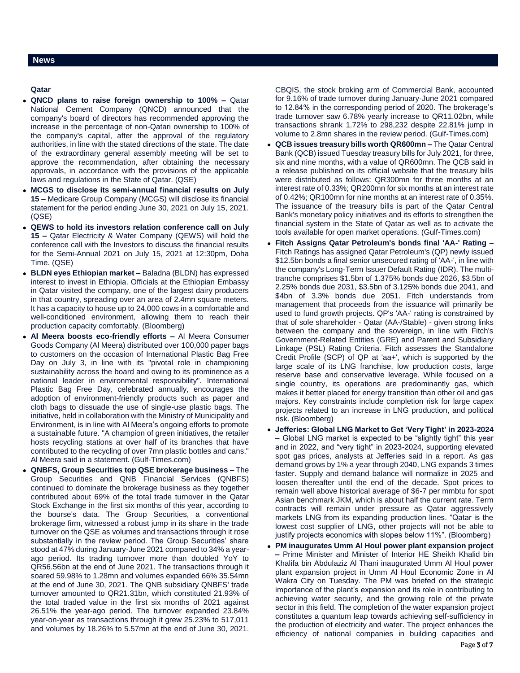### **News**

#### **Qatar**

- **QNCD plans to raise foreign ownership to 100% –** Qatar National Cement Company (QNCD) announced that the company's board of directors has recommended approving the increase in the percentage of non-Qatari ownership to 100% of the company's capital, after the approval of the regulatory authorities, in line with the stated directions of the state. The date of the extraordinary general assembly meeting will be set to approve the recommendation, after obtaining the necessary approvals, in accordance with the provisions of the applicable laws and regulations in the State of Qatar. (QSE)
- **MCGS to disclose its semi-annual financial results on July 15 –** Medicare Group Company (MCGS) will disclose its financial statement for the period ending June 30, 2021 on July 15, 2021. (QSE)
- **QEWS to hold its investors relation conference call on July 15 –** Qatar Electricity & Water Company (QEWS) will hold the conference call with the Investors to discuss the financial results for the Semi-Annual 2021 on July 15, 2021 at 12:30pm, Doha Time. (QSE)
- **BLDN eyes Ethiopian market –** Baladna (BLDN) has expressed interest to invest in Ethiopia. Officials at the Ethiopian Embassy in Qatar visited the company, one of the largest dairy producers in that country, spreading over an area of 2.4mn square meters. It has a capacity to house up to 24,000 cows in a comfortable and well-conditioned environment, allowing them to reach their production capacity comfortably. (Bloomberg)
- **Al Meera boosts eco-friendly efforts –** Al Meera Consumer Goods Company (Al Meera) distributed over 100,000 paper bags to customers on the occasion of International Plastic Bag Free Day on July 3, in line with its "pivotal role in championing sustainability across the board and owing to its prominence as a national leader in environmental responsibility". International Plastic Bag Free Day, celebrated annually, encourages the adoption of environment-friendly products such as paper and cloth bags to dissuade the use of single-use plastic bags. The initiative, held in collaboration with the Ministry of Municipality and Environment, is in line with Al Meera's ongoing efforts to promote a sustainable future. "A champion of green initiatives, the retailer hosts recycling stations at over half of its branches that have contributed to the recycling of over 7mn plastic bottles and cans," Al Meera said in a statement. (Gulf-Times.com)
- **QNBFS, Group Securities top QSE brokerage business –** The Group Securities and QNB Financial Services (QNBFS) continued to dominate the brokerage business as they together contributed about 69% of the total trade turnover in the Qatar Stock Exchange in the first six months of this year, according to the bourse's data. The Group Securities, a conventional brokerage firm, witnessed a robust jump in its share in the trade turnover on the QSE as volumes and transactions through it rose substantially in the review period. The Group Securities' share stood at 47% during January-June 2021 compared to 34% a yearago period. Its trading turnover more than doubled YoY to QR56.56bn at the end of June 2021. The transactions through it soared 59.98% to 1.28mn and volumes expanded 66% 35.54mn at the end of June 30, 2021. The QNB subsidiary QNBFS' trade turnover amounted to QR21.31bn, which constituted 21.93% of the total traded value in the first six months of 2021 against 26.51% the year-ago period. The turnover expanded 23.84% year-on-year as transactions through it grew 25.23% to 517,011 and volumes by 18.26% to 5.57mn at the end of June 30, 2021.

CBQIS, the stock broking arm of Commercial Bank, accounted for 9.16% of trade turnover during January-June 2021 compared to 12.84% in the corresponding period of 2020. The brokerage's trade turnover saw 6.78% yearly increase to QR11.02bn, while transactions shrank 1.72% to 298,232 despite 22.81% jump in volume to 2.8mn shares in the review period. (Gulf-Times.com)

- **QCB issues treasury bills worth QR600mn –** The Qatar Central Bank (QCB) issued Tuesday treasury bills for July 2021, for three, six and nine months, with a value of QR600mn. The QCB said in a release published on its official website that the treasury bills were distributed as follows: QR300mn for three months at an interest rate of 0.33%; QR200mn for six months at an interest rate of 0.42%; QR100mn for nine months at an interest rate of 0.35%. The issuance of the treasury bills is part of the Qatar Central Bank's monetary policy initiatives and its efforts to strengthen the financial system in the State of Qatar as well as to activate the tools available for open market operations. (Gulf-Times.com)
- **Fitch Assigns Qatar Petroleum's bonds final 'AA-' Rating –** Fitch Ratings has assigned Qatar Petroleum's (QP) newly issued \$12.5bn bonds a final senior unsecured rating of 'AA-', in line with the company's Long-Term Issuer Default Rating (IDR). The multitranche comprises \$1.5bn of 1.375% bonds due 2026, \$3.5bn of 2.25% bonds due 2031, \$3.5bn of 3.125% bonds due 2041, and \$4bn of 3.3% bonds due 2051. Fitch understands from management that proceeds from the issuance will primarily be used to fund growth projects. QP's 'AA-' rating is constrained by that of sole shareholder - Qatar (AA-/Stable) - given strong links between the company and the sovereign, in line with Fitch's Government-Related Entities (GRE) and Parent and Subsidiary Linkage (PSL) Rating Criteria. Fitch assesses the Standalone Credit Profile (SCP) of QP at 'aa+', which is supported by the large scale of its LNG franchise, low production costs, large reserve base and conservative leverage. While focused on a single country, its operations are predominantly gas, which makes it better placed for energy transition than other oil and gas majors. Key constraints include completion risk for large capex projects related to an increase in LNG production, and political risk. (Bloomberg)
- **Jefferies: Global LNG Market to Get 'Very Tight' in 2023-2024 –** Global LNG market is expected to be "slightly tight" this year and in 2022, and "very tight" in 2023-2024, supporting elevated spot gas prices, analysts at Jefferies said in a report. As gas demand grows by 1% a year through 2040, LNG expands 3 times faster. Supply and demand balance will normalize in 2025 and loosen thereafter until the end of the decade. Spot prices to remain well above historical average of \$6-7 per mmbtu for spot Asian benchmark JKM, which is about half the current rate. Term contracts will remain under pressure as Qatar aggressively markets LNG from its expanding production lines. "Qatar is the lowest cost supplier of LNG, other projects will not be able to justify projects economics with slopes below 11%". (Bloomberg)
- **PM inaugurates Umm Al Houl power plant expansion project –** Prime Minister and Minister of Interior HE Sheikh Khalid bin Khalifa bin Abdulaziz Al Thani inaugurated Umm Al Houl power plant expansion project in Umm Al Houl Economic Zone in Al Wakra City on Tuesday. The PM was briefed on the strategic importance of the plant's expansion and its role in contributing to achieving water security, and the growing role of the private sector in this field. The completion of the water expansion project constitutes a quantum leap towards achieving self-sufficiency in the production of electricity and water. The project enhances the efficiency of national companies in building capacities and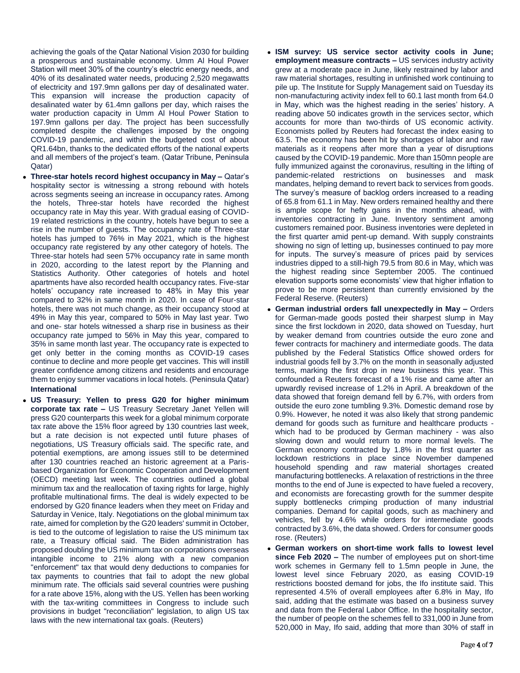achieving the goals of the Qatar National Vision 2030 for building a prosperous and sustainable economy. Umm Al Houl Power Station will meet 30% of the country's electric energy needs, and 40% of its desalinated water needs, producing 2,520 megawatts of electricity and 197.9mn gallons per day of desalinated water. This expansion will increase the production capacity of desalinated water by 61.4mn gallons per day, which raises the water production capacity in Umm Al Houl Power Station to 197.9mn gallons per day. The project has been successfully completed despite the challenges imposed by the ongoing COVID-19 pandemic, and within the budgeted cost of about QR1.64bn, thanks to the dedicated efforts of the national experts and all members of the project's team. (Qatar Tribune, Peninsula Qatar)

- **Three-star hotels record highest occupancy in May –** Qatar's hospitality sector is witnessing a strong rebound with hotels across segments seeing an increase in occupancy rates. Among the hotels, Three-star hotels have recorded the highest occupancy rate in May this year. With gradual easing of COVID-19 related restrictions in the country, hotels have begun to see a rise in the number of guests. The occupancy rate of Three-star hotels has jumped to 76% in May 2021, which is the highest occupancy rate registered by any other category of hotels. The Three-star hotels had seen 57% occupancy rate in same month in 2020, according to the latest report by the Planning and Statistics Authority. Other categories of hotels and hotel apartments have also recorded health occupancy rates. Five-star hotels' occupancy rate increased to 48% in May this year compared to 32% in same month in 2020. In case of Four-star hotels, there was not much change, as their occupancy stood at 49% in May this year, compared to 50% in May last year. Two and one- star hotels witnessed a sharp rise in business as their occupancy rate jumped to 56% in May this year, compared to 35% in same month last year. The occupancy rate is expected to get only better in the coming months as COVID-19 cases continue to decline and more people get vaccines. This will instill greater confidence among citizens and residents and encourage them to enjoy summer vacations in local hotels. (Peninsula Qatar) **International**
- **US Treasury: Yellen to press G20 for higher minimum corporate tax rate –** US Treasury Secretary Janet Yellen will press G20 counterparts this week for a global minimum corporate tax rate above the 15% floor agreed by 130 countries last week, but a rate decision is not expected until future phases of negotiations, US Treasury officials said. The specific rate, and potential exemptions, are among issues still to be determined after 130 countries reached an historic agreement at a Parisbased Organization for Economic Cooperation and Development (OECD) meeting last week. The countries outlined a global minimum tax and the reallocation of taxing rights for large, highly profitable multinational firms. The deal is widely expected to be endorsed by G20 finance leaders when they meet on Friday and Saturday in Venice, Italy. Negotiations on the global minimum tax rate, aimed for completion by the G20 leaders' summit in October, is tied to the outcome of legislation to raise the US minimum tax rate, a Treasury official said. The Biden administration has proposed doubling the US minimum tax on corporations overseas intangible income to 21% along with a new companion "enforcement" tax that would deny deductions to companies for tax payments to countries that fail to adopt the new global minimum rate. The officials said several countries were pushing for a rate above 15%, along with the US. Yellen has been working with the tax-writing committees in Congress to include such provisions in budget "reconciliation" legislation, to align US tax laws with the new international tax goals. (Reuters)
- **ISM survey: US service sector activity cools in June; employment measure contracts –** US services industry activity grew at a moderate pace in June, likely restrained by labor and raw material shortages, resulting in unfinished work continuing to pile up. The Institute for Supply Management said on Tuesday its non-manufacturing activity index fell to 60.1 last month from 64.0 in May, which was the highest reading in the series' history. A reading above 50 indicates growth in the services sector, which accounts for more than two-thirds of US economic activity. Economists polled by Reuters had forecast the index easing to 63.5. The economy has been hit by shortages of labor and raw materials as it reopens after more than a year of disruptions caused by the COVID-19 pandemic. More than 150mn people are fully immunized against the coronavirus, resulting in the lifting of pandemic-related restrictions on businesses and mask mandates, helping demand to revert back to services from goods. The survey's measure of backlog orders increased to a reading of 65.8 from 61.1 in May. New orders remained healthy and there is ample scope for hefty gains in the months ahead, with inventories contracting in June. Inventory sentiment among customers remained poor. Business inventories were depleted in the first quarter amid pent-up demand. With supply constraints showing no sign of letting up, businesses continued to pay more for inputs. The survey's measure of prices paid by services industries dipped to a still-high 79.5 from 80.6 in May, which was the highest reading since September 2005. The continued elevation supports some economists' view that higher inflation to prove to be more persistent than currently envisioned by the Federal Reserve. (Reuters)
- **German industrial orders fall unexpectedly in May –** Orders for German-made goods posted their sharpest slump in May since the first lockdown in 2020, data showed on Tuesday, hurt by weaker demand from countries outside the euro zone and fewer contracts for machinery and intermediate goods. The data published by the Federal Statistics Office showed orders for industrial goods fell by 3.7% on the month in seasonally adjusted terms, marking the first drop in new business this year. This confounded a Reuters forecast of a 1% rise and came after an upwardly revised increase of 1.2% in April. A breakdown of the data showed that foreign demand fell by 6.7%, with orders from outside the euro zone tumbling 9.3%. Domestic demand rose by 0.9%. However, he noted it was also likely that strong pandemic demand for goods such as furniture and healthcare products which had to be produced by German machinery - was also slowing down and would return to more normal levels. The German economy contracted by 1.8% in the first quarter as lockdown restrictions in place since November dampened household spending and raw material shortages created manufacturing bottlenecks. A relaxation of restrictions in the three months to the end of June is expected to have fueled a recovery, and economists are forecasting growth for the summer despite supply bottlenecks crimping production of many industrial companies. Demand for capital goods, such as machinery and vehicles, fell by 4.6% while orders for intermediate goods contracted by 3.6%, the data showed. Orders for consumer goods rose. (Reuters)
- **German workers on short-time work falls to lowest level since Feb 2020 –** The number of employees put on short-time work schemes in Germany fell to 1.5mn people in June, the lowest level since February 2020, as easing COVID-19 restrictions boosted demand for jobs, the Ifo institute said. This represented 4.5% of overall employees after 6.8% in May, Ifo said, adding that the estimate was based on a business survey and data from the Federal Labor Office. In the hospitality sector, the number of people on the schemes fell to 331,000 in June from 520,000 in May, Ifo said, adding that more than 30% of staff in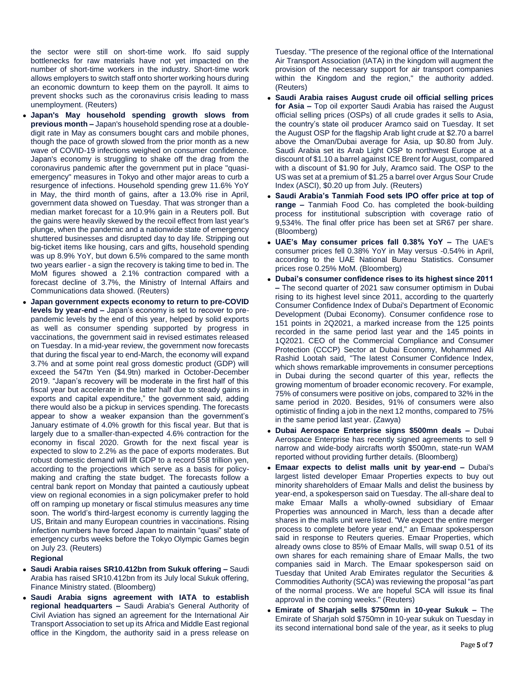the sector were still on short-time work. Ifo said supply bottlenecks for raw materials have not yet impacted on the number of short-time workers in the industry. Short-time work allows employers to switch staff onto shorter working hours during an economic downturn to keep them on the payroll. It aims to prevent shocks such as the coronavirus crisis leading to mass unemployment. (Reuters)

- **Japan's May household spending growth slows from previous month –** Japan's household spending rose at a doubledigit rate in May as consumers bought cars and mobile phones, though the pace of growth slowed from the prior month as a new wave of COVID-19 infections weighed on consumer confidence. Japan's economy is struggling to shake off the drag from the coronavirus pandemic after the government put in place "quasiemergency" measures in Tokyo and other major areas to curb a resurgence of infections. Household spending grew 11.6% YoY in May, the third month of gains, after a 13.0% rise in April, government data showed on Tuesday. That was stronger than a median market forecast for a 10.9% gain in a Reuters poll. But the gains were heavily skewed by the recoil effect from last year's plunge, when the pandemic and a nationwide state of emergency shuttered businesses and disrupted day to day life. Stripping out big-ticket items like housing, cars and gifts, household spending was up 8.9% YoY, but down 6.5% compared to the same month two years earlier - a sign the recovery is taking time to bed in. The MoM figures showed a 2.1% contraction compared with a forecast decline of 3.7%, the Ministry of Internal Affairs and Communications data showed. (Reuters)
- **Japan government expects economy to return to pre-COVID levels by year-end –** Japan's economy is set to recover to prepandemic levels by the end of this year, helped by solid exports as well as consumer spending supported by progress in vaccinations, the government said in revised estimates released on Tuesday. In a mid-year review, the government now forecasts that during the fiscal year to end-March, the economy will expand 3.7% and at some point real gross domestic product (GDP) will exceed the 547tn Yen (\$4.9tn) marked in October-December 2019. "Japan's recovery will be moderate in the first half of this fiscal year but accelerate in the latter half due to steady gains in exports and capital expenditure," the government said, adding there would also be a pickup in services spending. The forecasts appear to show a weaker expansion than the government's January estimate of 4.0% growth for this fiscal year. But that is largely due to a smaller-than-expected 4.6% contraction for the economy in fiscal 2020. Growth for the next fiscal year is expected to slow to 2.2% as the pace of exports moderates. But robust domestic demand will lift GDP to a record 558 trillion yen, according to the projections which serve as a basis for policymaking and crafting the state budget. The forecasts follow a central bank report on Monday that painted a cautiously upbeat view on regional economies in a sign policymaker prefer to hold off on ramping up monetary or fiscal stimulus measures any time soon. The world's third-largest economy is currently lagging the US, Britain and many European countries in vaccinations. Rising infection numbers have forced Japan to maintain "quasi" state of emergency curbs weeks before the Tokyo Olympic Games begin on July 23. (Reuters)

#### **Regional**

- **Saudi Arabia raises SR10.412bn from Sukuk offering –** Saudi Arabia has raised SR10.412bn from its July local Sukuk offering, Finance Ministry stated. (Bloomberg)
- **Saudi Arabia signs agreement with IATA to establish regional headquarters –** Saudi Arabia's General Authority of Civil Aviation has signed an agreement for the International Air Transport Association to set up its Africa and Middle East regional office in the Kingdom, the authority said in a press release on

Tuesday. "The presence of the regional office of the International Air Transport Association (IATA) in the kingdom will augment the provision of the necessary support for air transport companies within the Kingdom and the region," the authority added. (Reuters)

- **Saudi Arabia raises August crude oil official selling prices for Asia –** Top oil exporter Saudi Arabia has raised the August official selling prices (OSPs) of all crude grades it sells to Asia, the country's state oil producer Aramco said on Tuesday. It set the August OSP for the flagship Arab light crude at \$2.70 a barrel above the Oman/Dubai average for Asia, up \$0.80 from July. Saudi Arabia set its Arab Light OSP to northwest Europe at a discount of \$1.10 a barrel against ICE Brent for August, compared with a discount of \$1.90 for July, Aramco said. The OSP to the US was set at a premium of \$1.25 a barrel over Argus Sour Crude Index (ASCI), \$0.20 up from July. (Reuters)
- **Saudi Arabia's Tanmiah Food sets IPO offer price at top of range –** Tanmiah Food Co. has completed the book-building process for institutional subscription with coverage ratio of 9,534%. The final offer price has been set at SR67 per share. (Bloomberg)
- **UAE's May consumer prices fall 0.38% YoY –** The UAE's consumer prices fell 0.38% YoY in May versus -0.54% in April, according to the UAE National Bureau Statistics. Consumer prices rose 0.25% MoM. (Bloomberg)
- **Dubai's consumer confidence rises to its highest since 2011 –** The second quarter of 2021 saw consumer optimism in Dubai rising to its highest level since 2011, according to the quarterly Consumer Confidence Index of Dubai's Department of Economic Development (Dubai Economy). Consumer confidence rose to 151 points in 2Q2021, a marked increase from the 125 points recorded in the same period last year and the 145 points in 1Q2021. CEO of the Commercial Compliance and Consumer Protection (CCCP) Sector at Dubai Economy, Mohammed Ali Rashid Lootah said, "The latest Consumer Confidence Index, which shows remarkable improvements in consumer perceptions in Dubai during the second quarter of this year, reflects the growing momentum of broader economic recovery. For example, 75% of consumers were positive on jobs, compared to 32% in the same period in 2020. Besides, 91% of consumers were also optimistic of finding a job in the next 12 months, compared to 75% in the same period last year. (Zawya)
- **Dubai Aerospace Enterprise signs \$500mn deals –** Dubai Aerospace Enterprise has recently signed agreements to sell 9 narrow and wide-body aircrafts worth \$500mn, state-run WAM reported without providing further details. (Bloomberg)
- **Emaar expects to delist malls unit by year-end –** Dubai's largest listed developer Emaar Properties expects to buy out minority shareholders of Emaar Malls and delist the business by year-end, a spokesperson said on Tuesday. The all-share deal to make Emaar Malls a wholly-owned subsidiary of Emaar Properties was announced in March, less than a decade after shares in the malls unit were listed. "We expect the entire merger process to complete before year end," an Emaar spokesperson said in response to Reuters queries. Emaar Properties, which already owns close to 85% of Emaar Malls, will swap 0.51 of its own shares for each remaining share of Emaar Malls, the two companies said in March. The Emaar spokesperson said on Tuesday that United Arab Emirates regulator the Securities & Commodities Authority (SCA) was reviewing the proposal "as part of the normal process. We are hopeful SCA will issue its final approval in the coming weeks." (Reuters)
- **Emirate of Sharjah sells \$750mn in 10-year Sukuk –** The Emirate of Sharjah sold \$750mn in 10-year sukuk on Tuesday in its second international bond sale of the year, as it seeks to plug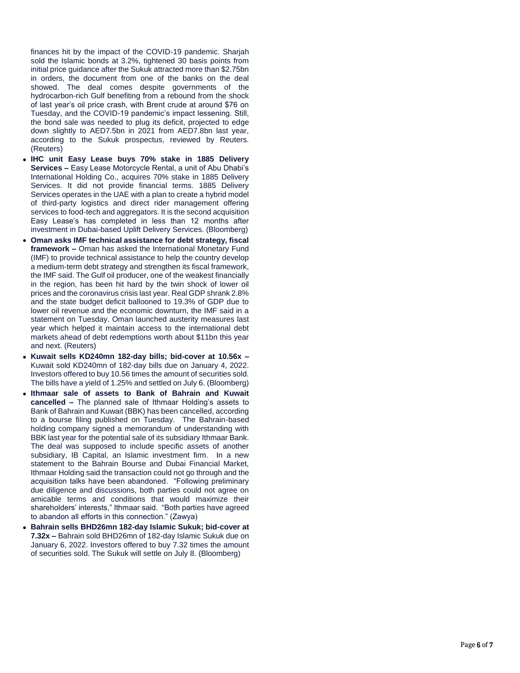finances hit by the impact of the COVID -19 pandemic. Sharjah sold the Islamic bonds at 3.2%, tightened 30 basis points from initial price guidance after the Sukuk attracted more than \$2.75bn in orders, the document from one of the banks on the deal showed. The deal comes despite governments of the hydrocarbon -rich Gulf benefiting from a rebound from the shock of last year's oil price crash, with Brent crude at around \$76 on Tuesday, and the COVID -19 pandemic's impact lessening. Still, the bond sale was needed to plug its deficit, projected to edge down slightly to AED7.5bn in 2021 from AED7.8bn last year, according to the Sukuk prospectus, reviewed by Reuters. (Reuters)

- **IHC unit Easy Lease buys 70% stake in 1885 Delivery Services –** Easy Lease Motorcycle Rental, a unit of Abu Dhabi's International Holding Co., acquires 70% stake in 1885 Delivery Services. It did not provide financial terms. 1885 Delivery Services operates in the UAE with a plan to create a hybrid model of third -party logistics and direct rider management offering services to food - tech and aggregators. It is the second acquisition Easy Lease's has completed in less than 12 months after investment in Dubai -based Uplift Delivery Services. (Bloomberg)
- **Oman asks IMF technical assistance for debt strategy, fiscal framework –** Oman has asked the International Monetary Fund (IMF) to provide technical assistance to help the country develop a medium -term debt strategy and strengthen its fiscal framework, the IMF said. The Gulf oil producer, one of the weakest financially in the region, has been hit hard by the twin shock of lower oil prices and the coronavirus crisis last year. Real GDP shrank 2.8% and the state budget deficit ballooned to 19.3% of GDP due to lower oil revenue and the economic downturn, the IMF said in a statement on Tuesday. Oman launched austerity measures last year which helped it maintain access to the international debt markets ahead of debt redemptions worth about \$11bn this year and next. (Reuters)
- Kuwait sells KD240mn 182-day bills; bid-cover at 10.56x -Kuwait sold KD240mn of 182 -day bills due on January 4, 2022. Investors offered to buy 10.56 times the amount of securities sold. The bills have a yield of 1.25% and settled on July 6. (Bloomberg)
- **Ithmaar sale of assets to Bank of Bahrain and Kuwait cancelled –** The planned sale of Ithmaar Holding's assets to Bank of Bahrain and Kuwait (BBK) has been cancelled, according to a bourse filing published on Tuesday. The Bahrain -based holding company signed a memorandum of understanding with BBK last year for the potential sale of its subsidiary Ithmaar Bank. The deal was supposed to include specific assets of another subsidiary, IB Capital, an Islamic investment firm. In a new statement to the Bahrain Bourse and Dubai Financial Market, Ithmaar Holding said the transaction could not go through and the acquisition talks have been abandoned. "Following preliminary due diligence and discussions, both parties could not agree on amicable terms and conditions that would maximize their shareholders' interests," Ithmaar said. "Both parties have agreed to abandon all efforts in this connection." (Zawya)
- **Bahrain sells BHD26mn 182-day Islamic Sukuk; bid-cover at** 7.32x - Bahrain sold BHD26mn of 182-day Islamic Sukuk due on January 6, 2022. Investors offered to buy 7.32 times the amount of securities sold. The Sukuk will settle on July 8. (Bloomberg)